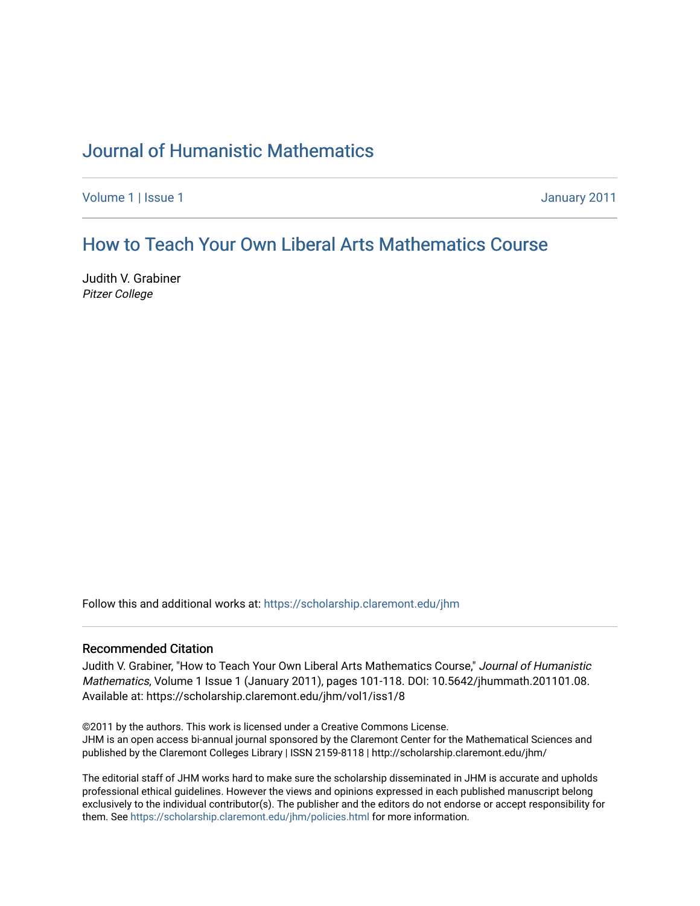## [Journal of Humanistic Mathematics](https://scholarship.claremont.edu/jhm)

[Volume 1](https://scholarship.claremont.edu/jhm/vol1) | [Issue 1](https://scholarship.claremont.edu/jhm/vol1/iss1) January 2011

## How to Teach Your Own Liberal Ar[ts Mathematics Course](https://scholarship.claremont.edu/jhm/vol1/iss1/8)

Judith V. Grabiner Pitzer College

Follow this and additional works at: [https://scholarship.claremont.edu/jhm](https://scholarship.claremont.edu/jhm?utm_source=scholarship.claremont.edu%2Fjhm%2Fvol1%2Fiss1%2F8&utm_medium=PDF&utm_campaign=PDFCoverPages)

#### Recommended Citation

Judith V. Grabiner, "How to Teach Your Own Liberal Arts Mathematics Course," Journal of Humanistic Mathematics, Volume 1 Issue 1 (January 2011), pages 101-118. DOI: 10.5642/jhummath.201101.08. Available at: https://scholarship.claremont.edu/jhm/vol1/iss1/8

©2011 by the authors. This work is licensed under a Creative Commons License. JHM is an open access bi-annual journal sponsored by the Claremont Center for the Mathematical Sciences and published by the Claremont Colleges Library | ISSN 2159-8118 | http://scholarship.claremont.edu/jhm/

The editorial staff of JHM works hard to make sure the scholarship disseminated in JHM is accurate and upholds professional ethical guidelines. However the views and opinions expressed in each published manuscript belong exclusively to the individual contributor(s). The publisher and the editors do not endorse or accept responsibility for them. See<https://scholarship.claremont.edu/jhm/policies.html> for more information.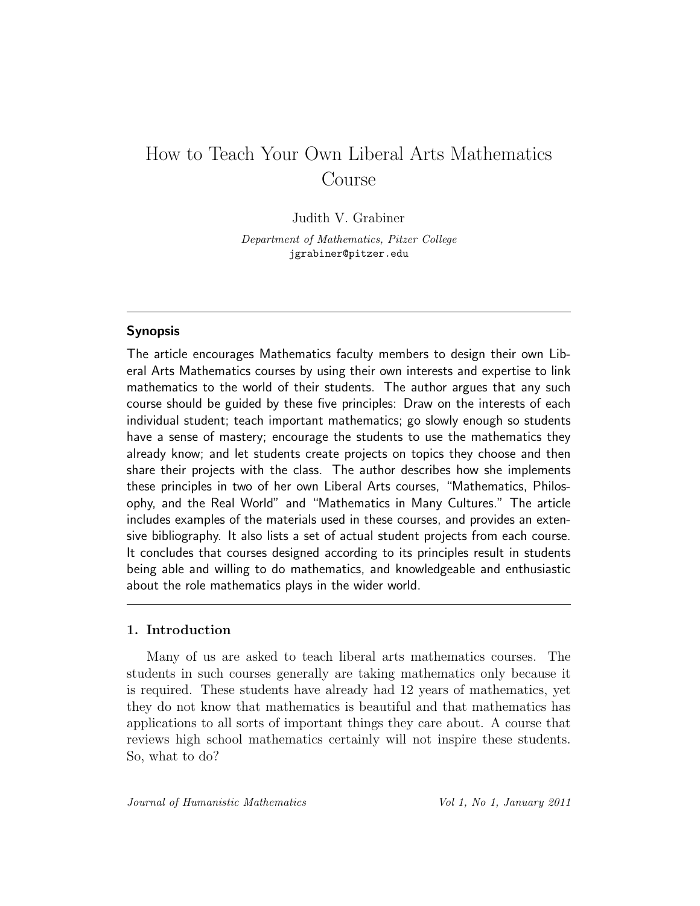# How to Teach Your Own Liberal Arts Mathematics Course

#### Judith V. Grabiner

Department of Mathematics, Pitzer College jgrabiner@pitzer.edu

#### Synopsis

The article encourages Mathematics faculty members to design their own Liberal Arts Mathematics courses by using their own interests and expertise to link mathematics to the world of their students. The author argues that any such course should be guided by these five principles: Draw on the interests of each individual student; teach important mathematics; go slowly enough so students have a sense of mastery; encourage the students to use the mathematics they already know; and let students create projects on topics they choose and then share their projects with the class. The author describes how she implements these principles in two of her own Liberal Arts courses, "Mathematics, Philosophy, and the Real World" and "Mathematics in Many Cultures." The article includes examples of the materials used in these courses, and provides an extensive bibliography. It also lists a set of actual student projects from each course. It concludes that courses designed according to its principles result in students being able and willing to do mathematics, and knowledgeable and enthusiastic about the role mathematics plays in the wider world.

#### 1. Introduction

Many of us are asked to teach liberal arts mathematics courses. The students in such courses generally are taking mathematics only because it is required. These students have already had 12 years of mathematics, yet they do not know that mathematics is beautiful and that mathematics has applications to all sorts of important things they care about. A course that reviews high school mathematics certainly will not inspire these students. So, what to do?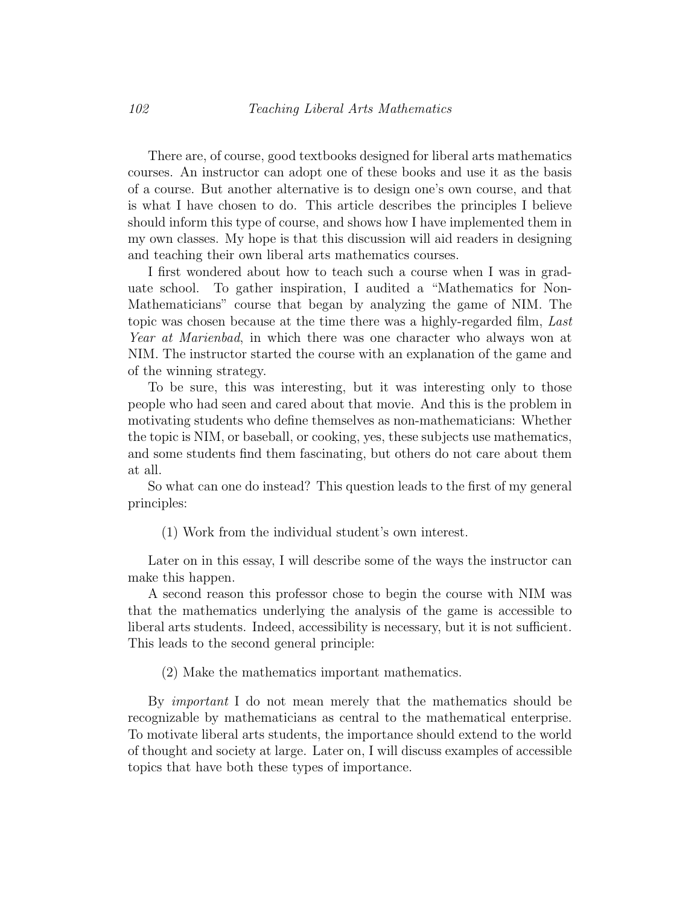There are, of course, good textbooks designed for liberal arts mathematics courses. An instructor can adopt one of these books and use it as the basis of a course. But another alternative is to design one's own course, and that is what I have chosen to do. This article describes the principles I believe should inform this type of course, and shows how I have implemented them in my own classes. My hope is that this discussion will aid readers in designing and teaching their own liberal arts mathematics courses.

I first wondered about how to teach such a course when I was in graduate school. To gather inspiration, I audited a "Mathematics for Non-Mathematicians" course that began by analyzing the game of NIM. The topic was chosen because at the time there was a highly-regarded film, Last Year at Marienbad, in which there was one character who always won at NIM. The instructor started the course with an explanation of the game and of the winning strategy.

To be sure, this was interesting, but it was interesting only to those people who had seen and cared about that movie. And this is the problem in motivating students who define themselves as non-mathematicians: Whether the topic is NIM, or baseball, or cooking, yes, these subjects use mathematics, and some students find them fascinating, but others do not care about them at all.

So what can one do instead? This question leads to the first of my general principles:

(1) Work from the individual student's own interest.

Later on in this essay, I will describe some of the ways the instructor can make this happen.

A second reason this professor chose to begin the course with NIM was that the mathematics underlying the analysis of the game is accessible to liberal arts students. Indeed, accessibility is necessary, but it is not sufficient. This leads to the second general principle:

(2) Make the mathematics important mathematics.

By important I do not mean merely that the mathematics should be recognizable by mathematicians as central to the mathematical enterprise. To motivate liberal arts students, the importance should extend to the world of thought and society at large. Later on, I will discuss examples of accessible topics that have both these types of importance.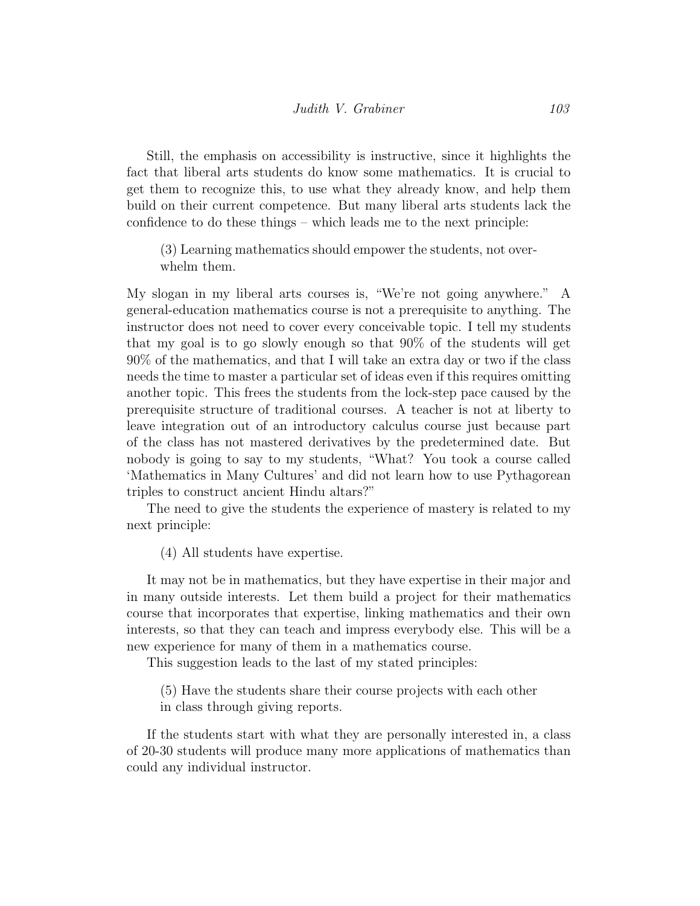Still, the emphasis on accessibility is instructive, since it highlights the fact that liberal arts students do know some mathematics. It is crucial to get them to recognize this, to use what they already know, and help them build on their current competence. But many liberal arts students lack the confidence to do these things – which leads me to the next principle:

(3) Learning mathematics should empower the students, not overwhelm them.

My slogan in my liberal arts courses is, "We're not going anywhere." A general-education mathematics course is not a prerequisite to anything. The instructor does not need to cover every conceivable topic. I tell my students that my goal is to go slowly enough so that 90% of the students will get 90% of the mathematics, and that I will take an extra day or two if the class needs the time to master a particular set of ideas even if this requires omitting another topic. This frees the students from the lock-step pace caused by the prerequisite structure of traditional courses. A teacher is not at liberty to leave integration out of an introductory calculus course just because part of the class has not mastered derivatives by the predetermined date. But nobody is going to say to my students, "What? You took a course called 'Mathematics in Many Cultures' and did not learn how to use Pythagorean triples to construct ancient Hindu altars?"

The need to give the students the experience of mastery is related to my next principle:

(4) All students have expertise.

It may not be in mathematics, but they have expertise in their major and in many outside interests. Let them build a project for their mathematics course that incorporates that expertise, linking mathematics and their own interests, so that they can teach and impress everybody else. This will be a new experience for many of them in a mathematics course.

This suggestion leads to the last of my stated principles:

(5) Have the students share their course projects with each other in class through giving reports.

If the students start with what they are personally interested in, a class of 20-30 students will produce many more applications of mathematics than could any individual instructor.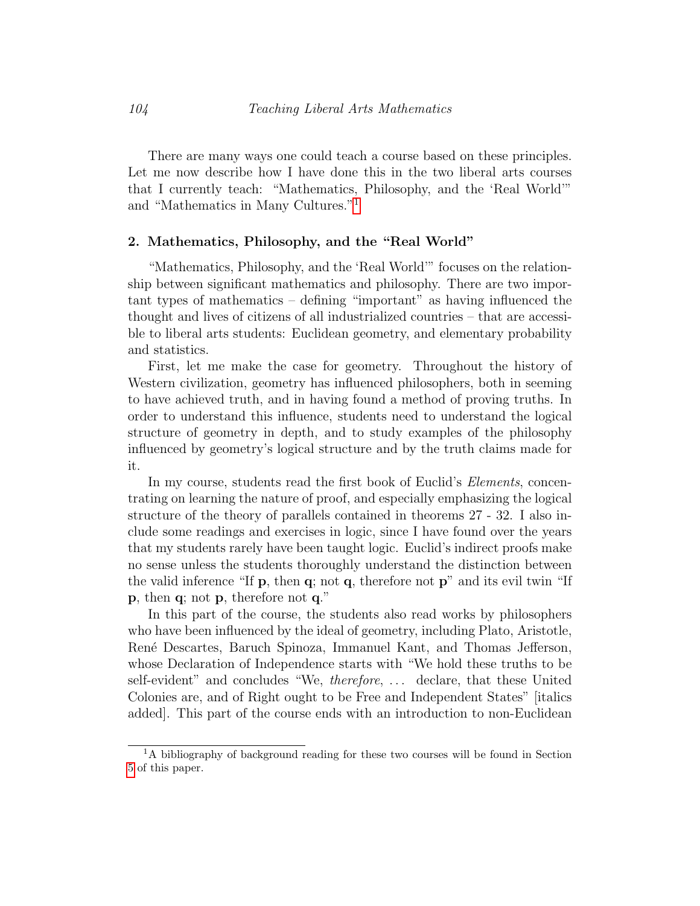There are many ways one could teach a course based on these principles. Let me now describe how I have done this in the two liberal arts courses that I currently teach: "Mathematics, Philosophy, and the 'Real World'" and "Mathematics in Many Cultures."[1](#page-4-0)

#### 2. Mathematics, Philosophy, and the "Real World"

"Mathematics, Philosophy, and the 'Real World'" focuses on the relationship between significant mathematics and philosophy. There are two important types of mathematics – defining "important" as having influenced the thought and lives of citizens of all industrialized countries – that are accessible to liberal arts students: Euclidean geometry, and elementary probability and statistics.

First, let me make the case for geometry. Throughout the history of Western civilization, geometry has influenced philosophers, both in seeming to have achieved truth, and in having found a method of proving truths. In order to understand this influence, students need to understand the logical structure of geometry in depth, and to study examples of the philosophy influenced by geometry's logical structure and by the truth claims made for it.

In my course, students read the first book of Euclid's *Elements*, concentrating on learning the nature of proof, and especially emphasizing the logical structure of the theory of parallels contained in theorems 27 - 32. I also include some readings and exercises in logic, since I have found over the years that my students rarely have been taught logic. Euclid's indirect proofs make no sense unless the students thoroughly understand the distinction between the valid inference "If  $\bf{p}$ , then  $\bf{q}$ ; not  $\bf{q}$ , therefore not  $\bf{p}$ " and its evil twin "If p, then q; not p, therefore not q."

In this part of the course, the students also read works by philosophers who have been influenced by the ideal of geometry, including Plato, Aristotle, Ren´e Descartes, Baruch Spinoza, Immanuel Kant, and Thomas Jefferson, whose Declaration of Independence starts with "We hold these truths to be self-evident" and concludes "We, *therefore*, ... declare, that these United Colonies are, and of Right ought to be Free and Independent States" [italics added]. This part of the course ends with an introduction to non-Euclidean

<span id="page-4-0"></span><sup>&</sup>lt;sup>1</sup>A bibliography of background reading for these two courses will be found in Section [5](#page-15-0) of this paper.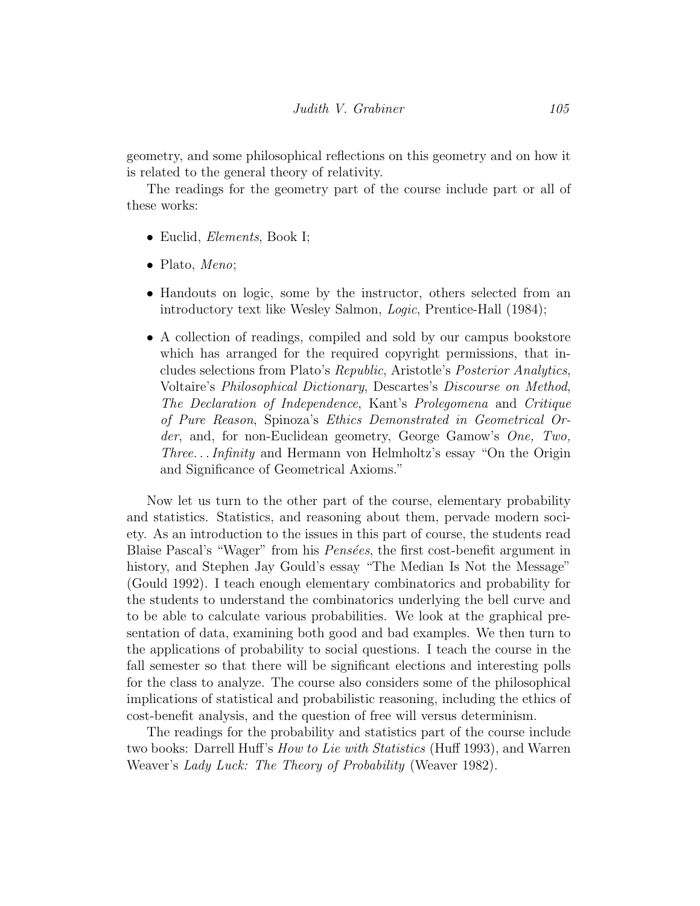geometry, and some philosophical reflections on this geometry and on how it is related to the general theory of relativity.

The readings for the geometry part of the course include part or all of these works:

- Euclid, *Elements*, Book I;
- Plato, Meno;
- Handouts on logic, some by the instructor, others selected from an introductory text like Wesley Salmon, Logic, Prentice-Hall (1984);
- A collection of readings, compiled and sold by our campus bookstore which has arranged for the required copyright permissions, that includes selections from Plato's Republic, Aristotle's Posterior Analytics, Voltaire's Philosophical Dictionary, Descartes's Discourse on Method, The Declaration of Independence, Kant's Prolegomena and Critique of Pure Reason, Spinoza's Ethics Demonstrated in Geometrical Order, and, for non-Euclidean geometry, George Gamow's One, Two, Three. . . Infinity and Hermann von Helmholtz's essay "On the Origin and Significance of Geometrical Axioms."

Now let us turn to the other part of the course, elementary probability and statistics. Statistics, and reasoning about them, pervade modern society. As an introduction to the issues in this part of course, the students read Blaise Pascal's "Wager" from his *Pensées*, the first cost-benefit argument in history, and Stephen Jay Gould's essay "The Median Is Not the Message" (Gould 1992). I teach enough elementary combinatorics and probability for the students to understand the combinatorics underlying the bell curve and to be able to calculate various probabilities. We look at the graphical presentation of data, examining both good and bad examples. We then turn to the applications of probability to social questions. I teach the course in the fall semester so that there will be significant elections and interesting polls for the class to analyze. The course also considers some of the philosophical implications of statistical and probabilistic reasoning, including the ethics of cost-benefit analysis, and the question of free will versus determinism.

The readings for the probability and statistics part of the course include two books: Darrell Huff's How to Lie with Statistics (Huff 1993), and Warren Weaver's *Lady Luck: The Theory of Probability* (Weaver 1982).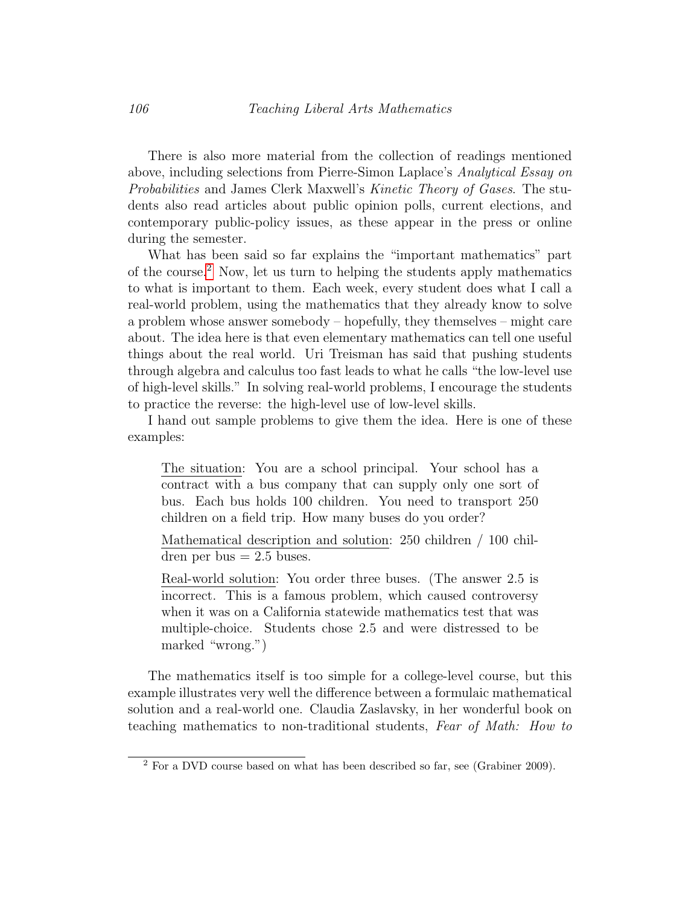There is also more material from the collection of readings mentioned above, including selections from Pierre-Simon Laplace's Analytical Essay on Probabilities and James Clerk Maxwell's Kinetic Theory of Gases. The students also read articles about public opinion polls, current elections, and contemporary public-policy issues, as these appear in the press or online during the semester.

What has been said so far explains the "important mathematics" part of the course.[2](#page-6-0) Now, let us turn to helping the students apply mathematics to what is important to them. Each week, every student does what I call a real-world problem, using the mathematics that they already know to solve a problem whose answer somebody – hopefully, they themselves – might care about. The idea here is that even elementary mathematics can tell one useful things about the real world. Uri Treisman has said that pushing students through algebra and calculus too fast leads to what he calls "the low-level use of high-level skills." In solving real-world problems, I encourage the students to practice the reverse: the high-level use of low-level skills.

I hand out sample problems to give them the idea. Here is one of these examples:

The situation: You are a school principal. Your school has a contract with a bus company that can supply only one sort of bus. Each bus holds 100 children. You need to transport 250 children on a field trip. How many buses do you order?

Mathematical description and solution: 250 children / 100 children per bus  $= 2.5$  buses.

Real-world solution: You order three buses. (The answer 2.5 is incorrect. This is a famous problem, which caused controversy when it was on a California statewide mathematics test that was multiple-choice. Students chose 2.5 and were distressed to be marked "wrong.")

The mathematics itself is too simple for a college-level course, but this example illustrates very well the difference between a formulaic mathematical solution and a real-world one. Claudia Zaslavsky, in her wonderful book on teaching mathematics to non-traditional students, Fear of Math: How to

<span id="page-6-0"></span><sup>&</sup>lt;sup>2</sup> For a DVD course based on what has been described so far, see (Grabiner 2009).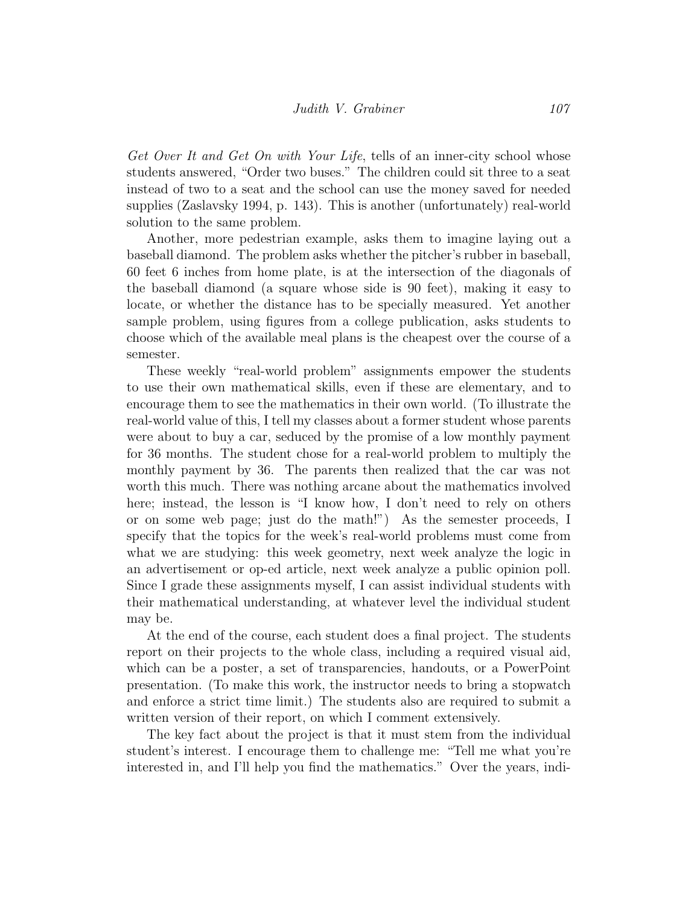Get Over It and Get On with Your Life, tells of an inner-city school whose students answered, "Order two buses." The children could sit three to a seat instead of two to a seat and the school can use the money saved for needed supplies (Zaslavsky 1994, p. 143). This is another (unfortunately) real-world solution to the same problem.

Another, more pedestrian example, asks them to imagine laying out a baseball diamond. The problem asks whether the pitcher's rubber in baseball, 60 feet 6 inches from home plate, is at the intersection of the diagonals of the baseball diamond (a square whose side is 90 feet), making it easy to locate, or whether the distance has to be specially measured. Yet another sample problem, using figures from a college publication, asks students to choose which of the available meal plans is the cheapest over the course of a semester.

These weekly "real-world problem" assignments empower the students to use their own mathematical skills, even if these are elementary, and to encourage them to see the mathematics in their own world. (To illustrate the real-world value of this, I tell my classes about a former student whose parents were about to buy a car, seduced by the promise of a low monthly payment for 36 months. The student chose for a real-world problem to multiply the monthly payment by 36. The parents then realized that the car was not worth this much. There was nothing arcane about the mathematics involved here; instead, the lesson is "I know how, I don't need to rely on others or on some web page; just do the math!") As the semester proceeds, I specify that the topics for the week's real-world problems must come from what we are studying: this week geometry, next week analyze the logic in an advertisement or op-ed article, next week analyze a public opinion poll. Since I grade these assignments myself, I can assist individual students with their mathematical understanding, at whatever level the individual student may be.

At the end of the course, each student does a final project. The students report on their projects to the whole class, including a required visual aid, which can be a poster, a set of transparencies, handouts, or a PowerPoint presentation. (To make this work, the instructor needs to bring a stopwatch and enforce a strict time limit.) The students also are required to submit a written version of their report, on which I comment extensively.

The key fact about the project is that it must stem from the individual student's interest. I encourage them to challenge me: "Tell me what you're interested in, and I'll help you find the mathematics." Over the years, indi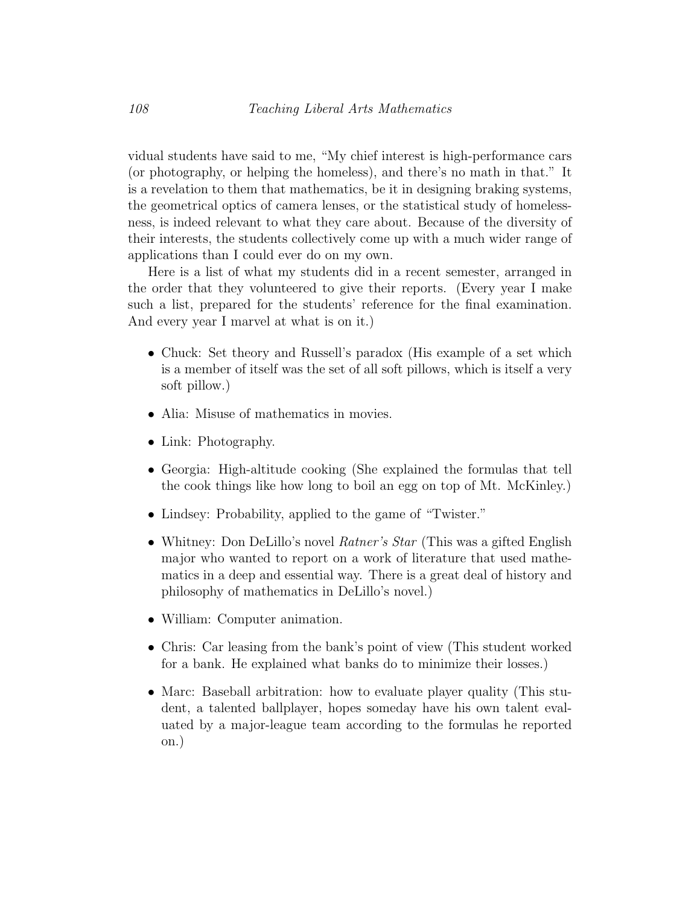vidual students have said to me, "My chief interest is high-performance cars (or photography, or helping the homeless), and there's no math in that." It is a revelation to them that mathematics, be it in designing braking systems, the geometrical optics of camera lenses, or the statistical study of homelessness, is indeed relevant to what they care about. Because of the diversity of their interests, the students collectively come up with a much wider range of applications than I could ever do on my own.

Here is a list of what my students did in a recent semester, arranged in the order that they volunteered to give their reports. (Every year I make such a list, prepared for the students' reference for the final examination. And every year I marvel at what is on it.)

- Chuck: Set theory and Russell's paradox (His example of a set which is a member of itself was the set of all soft pillows, which is itself a very soft pillow.)
- Alia: Misuse of mathematics in movies.
- Link: Photography.
- Georgia: High-altitude cooking (She explained the formulas that tell the cook things like how long to boil an egg on top of Mt. McKinley.)
- Lindsey: Probability, applied to the game of "Twister."
- Whitney: Don DeLillo's novel *Ratner's Star* (This was a gifted English major who wanted to report on a work of literature that used mathematics in a deep and essential way. There is a great deal of history and philosophy of mathematics in DeLillo's novel.)
- William: Computer animation.
- Chris: Car leasing from the bank's point of view (This student worked for a bank. He explained what banks do to minimize their losses.)
- Marc: Baseball arbitration: how to evaluate player quality (This student, a talented ballplayer, hopes someday have his own talent evaluated by a major-league team according to the formulas he reported on.)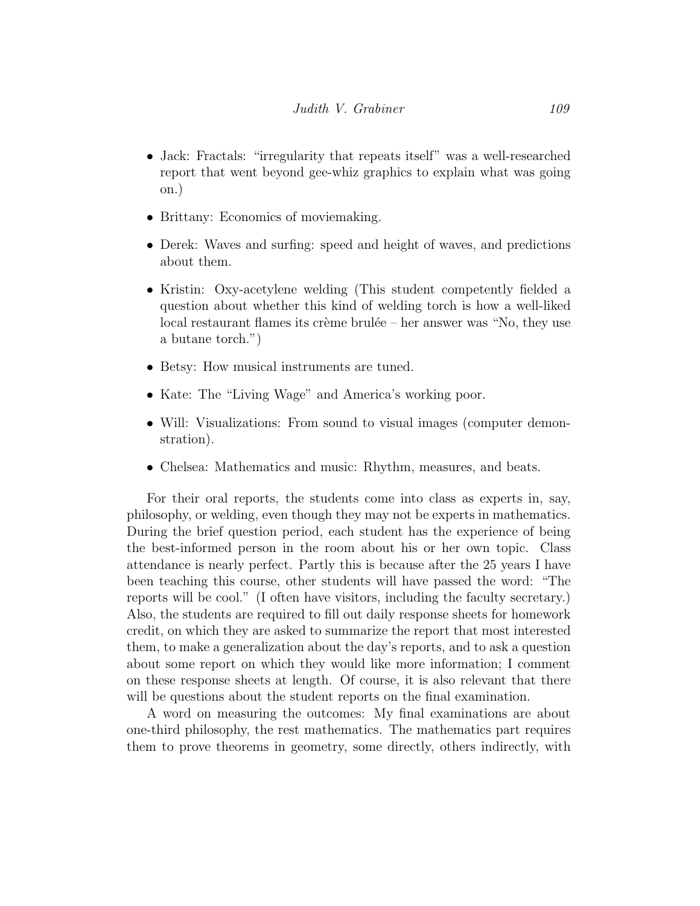- Jack: Fractals: "irregularity that repeats itself" was a well-researched report that went beyond gee-whiz graphics to explain what was going on.)
- Brittany: Economics of moviemaking.
- Derek: Waves and surfing: speed and height of waves, and predictions about them.
- Kristin: Oxy-acetylene welding (This student competently fielded a question about whether this kind of welding torch is how a well-liked local restaurant flames its crème brulée – her answer was "No, they use a butane torch.")
- Betsy: How musical instruments are tuned.
- Kate: The "Living Wage" and America's working poor.
- Will: Visualizations: From sound to visual images (computer demonstration).
- Chelsea: Mathematics and music: Rhythm, measures, and beats.

For their oral reports, the students come into class as experts in, say, philosophy, or welding, even though they may not be experts in mathematics. During the brief question period, each student has the experience of being the best-informed person in the room about his or her own topic. Class attendance is nearly perfect. Partly this is because after the 25 years I have been teaching this course, other students will have passed the word: "The reports will be cool." (I often have visitors, including the faculty secretary.) Also, the students are required to fill out daily response sheets for homework credit, on which they are asked to summarize the report that most interested them, to make a generalization about the day's reports, and to ask a question about some report on which they would like more information; I comment on these response sheets at length. Of course, it is also relevant that there will be questions about the student reports on the final examination.

A word on measuring the outcomes: My final examinations are about one-third philosophy, the rest mathematics. The mathematics part requires them to prove theorems in geometry, some directly, others indirectly, with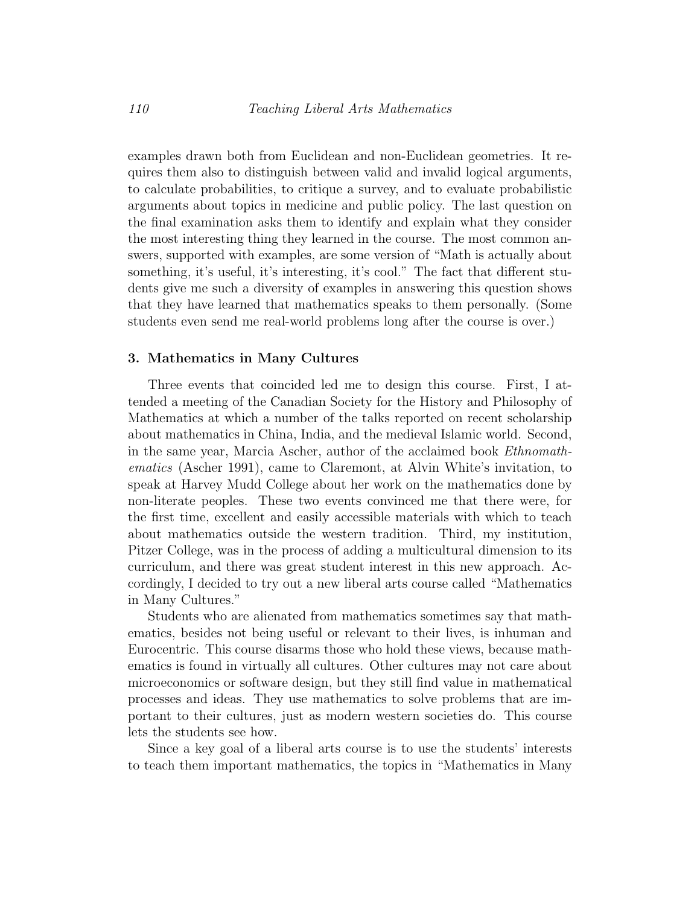examples drawn both from Euclidean and non-Euclidean geometries. It requires them also to distinguish between valid and invalid logical arguments, to calculate probabilities, to critique a survey, and to evaluate probabilistic arguments about topics in medicine and public policy. The last question on the final examination asks them to identify and explain what they consider the most interesting thing they learned in the course. The most common answers, supported with examples, are some version of "Math is actually about something, it's useful, it's interesting, it's cool." The fact that different students give me such a diversity of examples in answering this question shows that they have learned that mathematics speaks to them personally. (Some students even send me real-world problems long after the course is over.)

#### 3. Mathematics in Many Cultures

Three events that coincided led me to design this course. First, I attended a meeting of the Canadian Society for the History and Philosophy of Mathematics at which a number of the talks reported on recent scholarship about mathematics in China, India, and the medieval Islamic world. Second, in the same year, Marcia Ascher, author of the acclaimed book Ethnomathematics (Ascher 1991), came to Claremont, at Alvin White's invitation, to speak at Harvey Mudd College about her work on the mathematics done by non-literate peoples. These two events convinced me that there were, for the first time, excellent and easily accessible materials with which to teach about mathematics outside the western tradition. Third, my institution, Pitzer College, was in the process of adding a multicultural dimension to its curriculum, and there was great student interest in this new approach. Accordingly, I decided to try out a new liberal arts course called "Mathematics in Many Cultures."

Students who are alienated from mathematics sometimes say that mathematics, besides not being useful or relevant to their lives, is inhuman and Eurocentric. This course disarms those who hold these views, because mathematics is found in virtually all cultures. Other cultures may not care about microeconomics or software design, but they still find value in mathematical processes and ideas. They use mathematics to solve problems that are important to their cultures, just as modern western societies do. This course lets the students see how.

Since a key goal of a liberal arts course is to use the students' interests to teach them important mathematics, the topics in "Mathematics in Many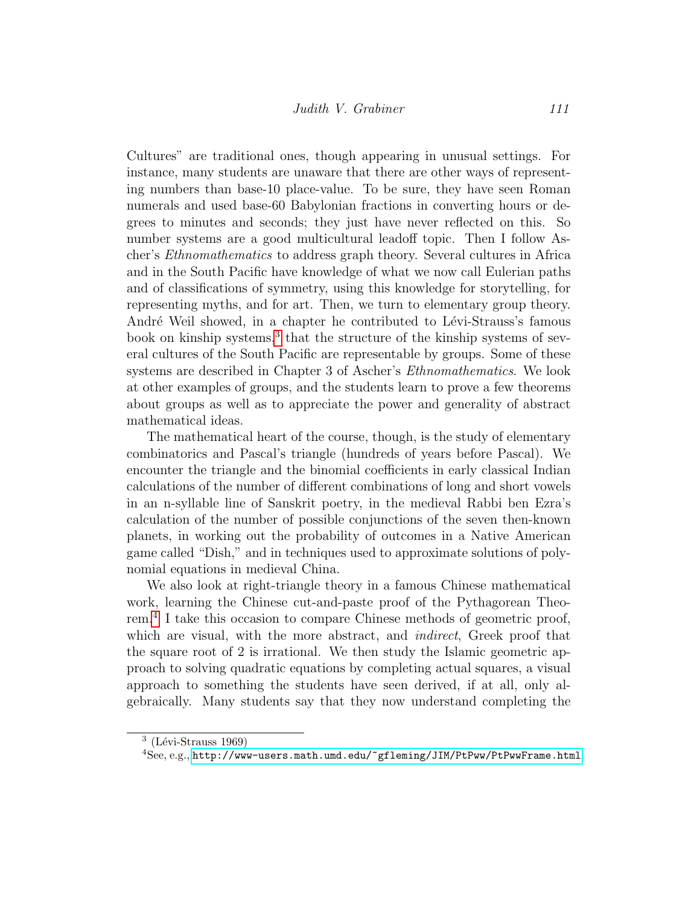Cultures" are traditional ones, though appearing in unusual settings. For instance, many students are unaware that there are other ways of representing numbers than base-10 place-value. To be sure, they have seen Roman numerals and used base-60 Babylonian fractions in converting hours or degrees to minutes and seconds; they just have never reflected on this. So number systems are a good multicultural leadoff topic. Then I follow Ascher's Ethnomathematics to address graph theory. Several cultures in Africa and in the South Pacific have knowledge of what we now call Eulerian paths and of classifications of symmetry, using this knowledge for storytelling, for representing myths, and for art. Then, we turn to elementary group theory. André Weil showed, in a chapter he contributed to Lévi-Strauss's famous book on kinship systems,<sup>[3](#page-11-0)</sup> that the structure of the kinship systems of several cultures of the South Pacific are representable by groups. Some of these systems are described in Chapter 3 of Ascher's Ethnomathematics. We look at other examples of groups, and the students learn to prove a few theorems about groups as well as to appreciate the power and generality of abstract mathematical ideas.

The mathematical heart of the course, though, is the study of elementary combinatorics and Pascal's triangle (hundreds of years before Pascal). We encounter the triangle and the binomial coefficients in early classical Indian calculations of the number of different combinations of long and short vowels in an n-syllable line of Sanskrit poetry, in the medieval Rabbi ben Ezra's calculation of the number of possible conjunctions of the seven then-known planets, in working out the probability of outcomes in a Native American game called "Dish," and in techniques used to approximate solutions of polynomial equations in medieval China.

We also look at right-triangle theory in a famous Chinese mathematical work, learning the Chinese cut-and-paste proof of the Pythagorean Theorem.[4](#page-11-1) I take this occasion to compare Chinese methods of geometric proof, which are visual, with the more abstract, and *indirect*, Greek proof that the square root of 2 is irrational. We then study the Islamic geometric approach to solving quadratic equations by completing actual squares, a visual approach to something the students have seen derived, if at all, only algebraically. Many students say that they now understand completing the

<span id="page-11-0"></span> $3$  (Lévi-Strauss 1969)

<span id="page-11-1"></span> ${}^{4}$ See, e.g., <http://www-users.math.umd.edu/~gfleming/JIM/PtPww/PtPwwFrame.html>.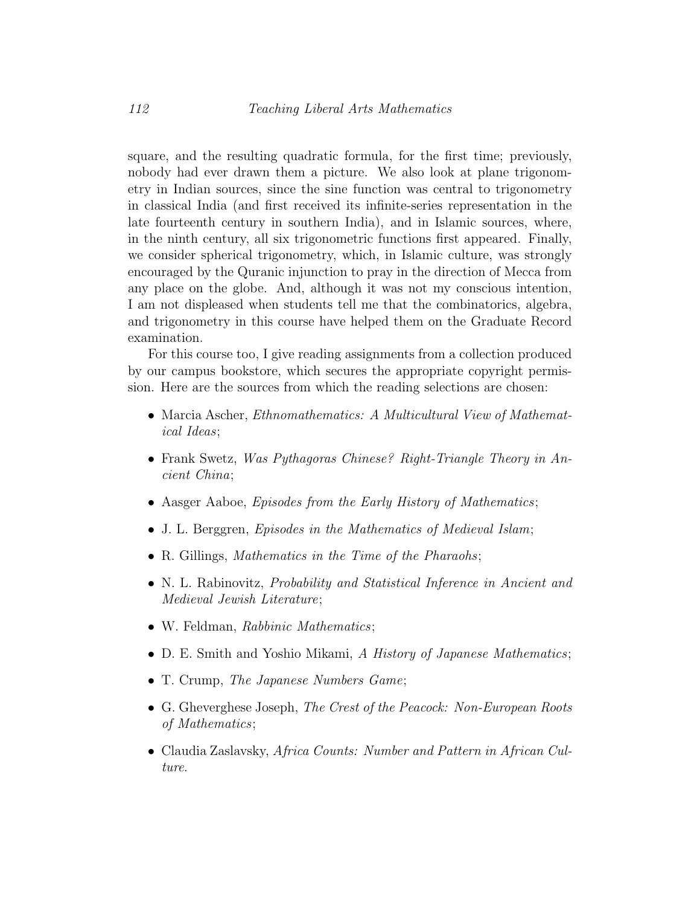square, and the resulting quadratic formula, for the first time; previously, nobody had ever drawn them a picture. We also look at plane trigonometry in Indian sources, since the sine function was central to trigonometry in classical India (and first received its infinite-series representation in the late fourteenth century in southern India), and in Islamic sources, where, in the ninth century, all six trigonometric functions first appeared. Finally, we consider spherical trigonometry, which, in Islamic culture, was strongly encouraged by the Quranic injunction to pray in the direction of Mecca from any place on the globe. And, although it was not my conscious intention, I am not displeased when students tell me that the combinatorics, algebra, and trigonometry in this course have helped them on the Graduate Record examination.

For this course too, I give reading assignments from a collection produced by our campus bookstore, which secures the appropriate copyright permission. Here are the sources from which the reading selections are chosen:

- Marcia Ascher, *Ethnomathematics: A Multicultural View of Mathemat*ical Ideas;
- Frank Swetz, Was Pythagoras Chinese? Right-Triangle Theory in Ancient China;
- Aasger Aaboe, *Episodes from the Early History of Mathematics*;
- J. L. Berggren, Episodes in the Mathematics of Medieval Islam;
- R. Gillings, Mathematics in the Time of the Pharaohs;
- N. L. Rabinovitz, *Probability and Statistical Inference in Ancient and* Medieval Jewish Literature;
- W. Feldman, Rabbinic Mathematics;
- D. E. Smith and Yoshio Mikami, A History of Japanese Mathematics;
- T. Crump, *The Japanese Numbers Game*;
- G. Gheverghese Joseph, The Crest of the Peacock: Non-European Roots of Mathematics;
- Claudia Zaslavsky, Africa Counts: Number and Pattern in African Culture.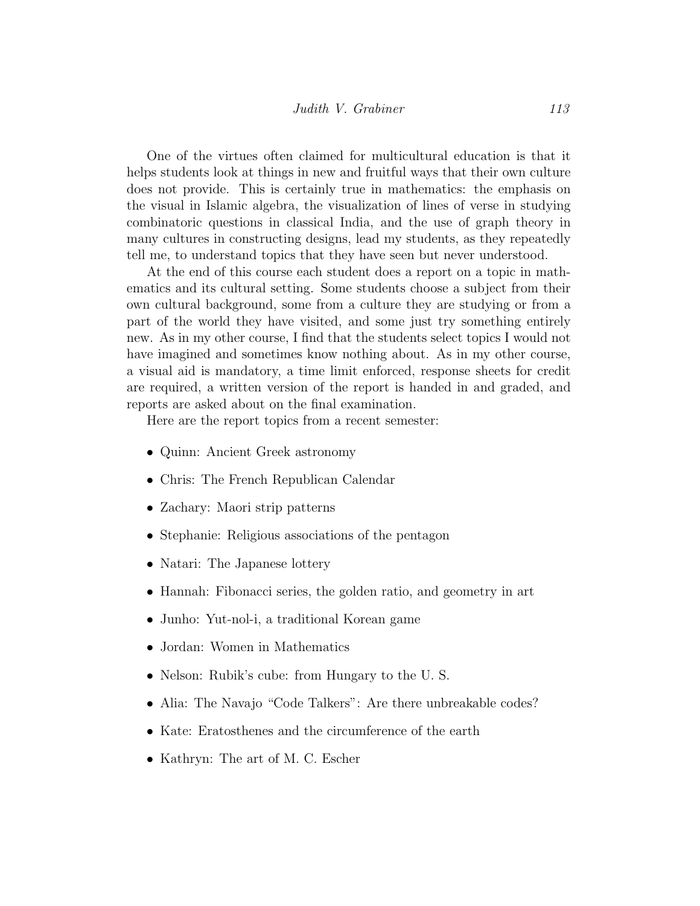One of the virtues often claimed for multicultural education is that it helps students look at things in new and fruitful ways that their own culture does not provide. This is certainly true in mathematics: the emphasis on the visual in Islamic algebra, the visualization of lines of verse in studying combinatoric questions in classical India, and the use of graph theory in many cultures in constructing designs, lead my students, as they repeatedly tell me, to understand topics that they have seen but never understood.

At the end of this course each student does a report on a topic in mathematics and its cultural setting. Some students choose a subject from their own cultural background, some from a culture they are studying or from a part of the world they have visited, and some just try something entirely new. As in my other course, I find that the students select topics I would not have imagined and sometimes know nothing about. As in my other course, a visual aid is mandatory, a time limit enforced, response sheets for credit are required, a written version of the report is handed in and graded, and reports are asked about on the final examination.

Here are the report topics from a recent semester:

- Quinn: Ancient Greek astronomy
- Chris: The French Republican Calendar
- Zachary: Maori strip patterns
- Stephanie: Religious associations of the pentagon
- Natari: The Japanese lottery
- Hannah: Fibonacci series, the golden ratio, and geometry in art
- Junho: Yut-nol-i, a traditional Korean game
- Jordan: Women in Mathematics
- Nelson: Rubik's cube: from Hungary to the U.S.
- Alia: The Navajo "Code Talkers": Are there unbreakable codes?
- Kate: Eratosthenes and the circumference of the earth
- Kathryn: The art of M. C. Escher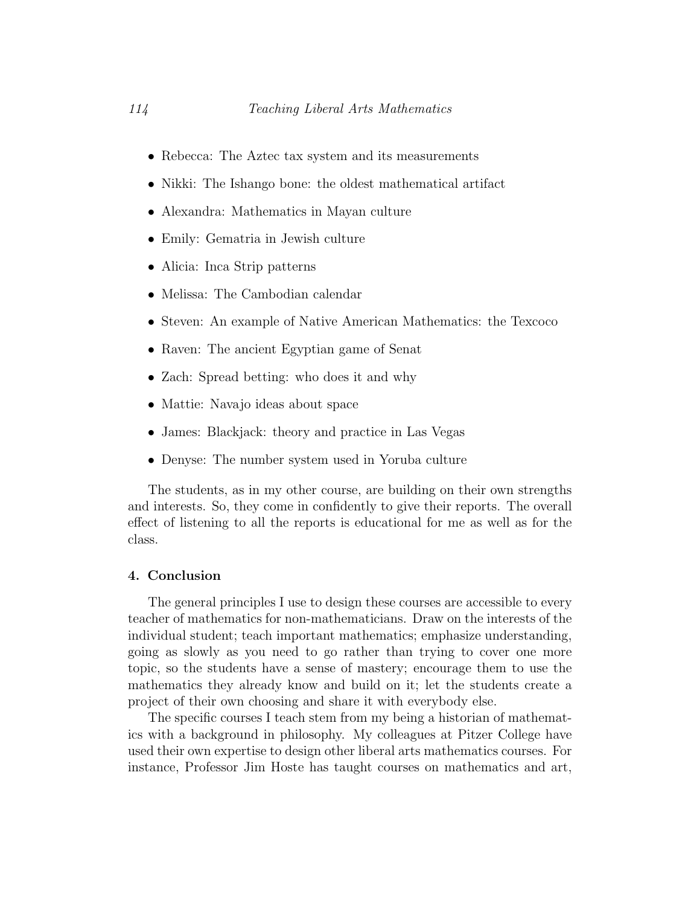- Rebecca: The Aztec tax system and its measurements
- Nikki: The Ishango bone: the oldest mathematical artifact
- Alexandra: Mathematics in Mayan culture
- Emily: Gematria in Jewish culture
- Alicia: Inca Strip patterns
- Melissa: The Cambodian calendar
- Steven: An example of Native American Mathematics: the Texcoco
- Raven: The ancient Egyptian game of Senat
- Zach: Spread betting: who does it and why
- Mattie: Navajo ideas about space
- James: Blackjack: theory and practice in Las Vegas
- Denyse: The number system used in Yoruba culture

The students, as in my other course, are building on their own strengths and interests. So, they come in confidently to give their reports. The overall effect of listening to all the reports is educational for me as well as for the class.

#### 4. Conclusion

The general principles I use to design these courses are accessible to every teacher of mathematics for non-mathematicians. Draw on the interests of the individual student; teach important mathematics; emphasize understanding, going as slowly as you need to go rather than trying to cover one more topic, so the students have a sense of mastery; encourage them to use the mathematics they already know and build on it; let the students create a project of their own choosing and share it with everybody else.

The specific courses I teach stem from my being a historian of mathematics with a background in philosophy. My colleagues at Pitzer College have used their own expertise to design other liberal arts mathematics courses. For instance, Professor Jim Hoste has taught courses on mathematics and art,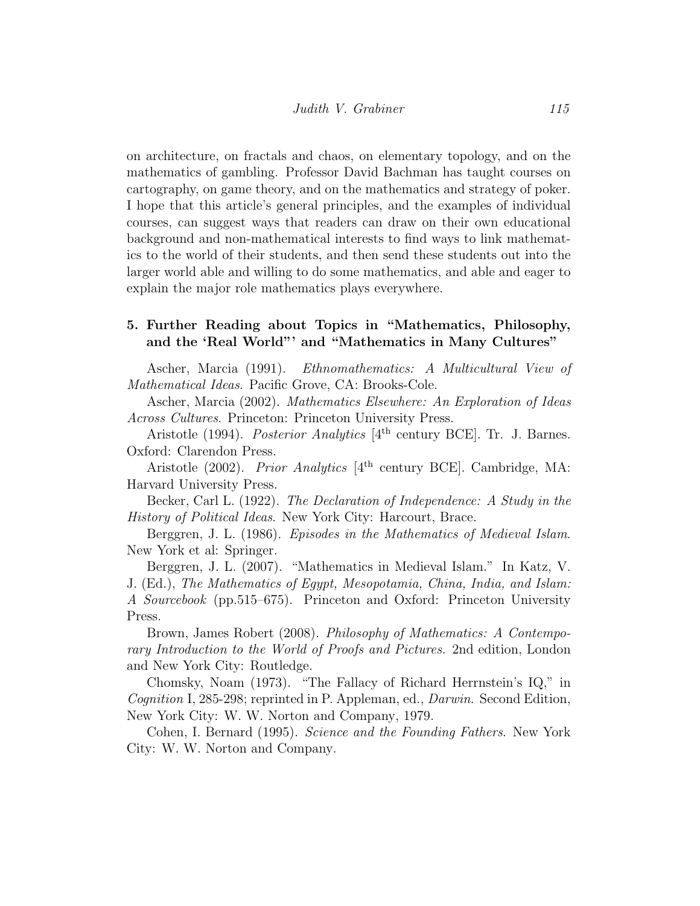on architecture, on fractals and chaos, on elementary topology, and on the mathematics of gambling. Professor David Bachman has taught courses on cartography, on game theory, and on the mathematics and strategy of poker. I hope that this article's general principles, and the examples of individual courses, can suggest ways that readers can draw on their own educational background and non-mathematical interests to find ways to link mathematics to the world of their students, and then send these students out into the larger world able and willing to do some mathematics, and able and eager to explain the major role mathematics plays everywhere.

### <span id="page-15-0"></span>5. Further Reading about Topics in "Mathematics, Philosophy, and the 'Real World"' and "Mathematics in Many Cultures"

Ascher, Marcia (1991). Ethnomathematics: A Multicultural View of Mathematical Ideas. Pacific Grove, CA: Brooks-Cole.

Ascher, Marcia (2002). Mathematics Elsewhere: An Exploration of Ideas Across Cultures. Princeton: Princeton University Press.

Aristotle (1994). *Posterior Analytics* [4<sup>th</sup> century BCE]. Tr. J. Barnes. Oxford: Clarendon Press.

Aristotle (2002). Prior Analytics [4<sup>th</sup> century BCE]. Cambridge, MA: Harvard University Press.

Becker, Carl L. (1922). The Declaration of Independence: A Study in the History of Political Ideas. New York City: Harcourt, Brace.

Berggren, J. L. (1986). Episodes in the Mathematics of Medieval Islam. New York et al: Springer.

Berggren, J. L. (2007). "Mathematics in Medieval Islam." In Katz, V. J. (Ed.), The Mathematics of Egypt, Mesopotamia, China, India, and Islam: A Sourcebook (pp.515–675). Princeton and Oxford: Princeton University Press.

Brown, James Robert (2008). Philosophy of Mathematics: A Contemporary Introduction to the World of Proofs and Pictures. 2nd edition, London and New York City: Routledge.

Chomsky, Noam (1973). "The Fallacy of Richard Herrnstein's IQ," in Cognition I, 285-298; reprinted in P. Appleman, ed., Darwin. Second Edition, New York City: W. W. Norton and Company, 1979.

Cohen, I. Bernard (1995). Science and the Founding Fathers. New York City: W. W. Norton and Company.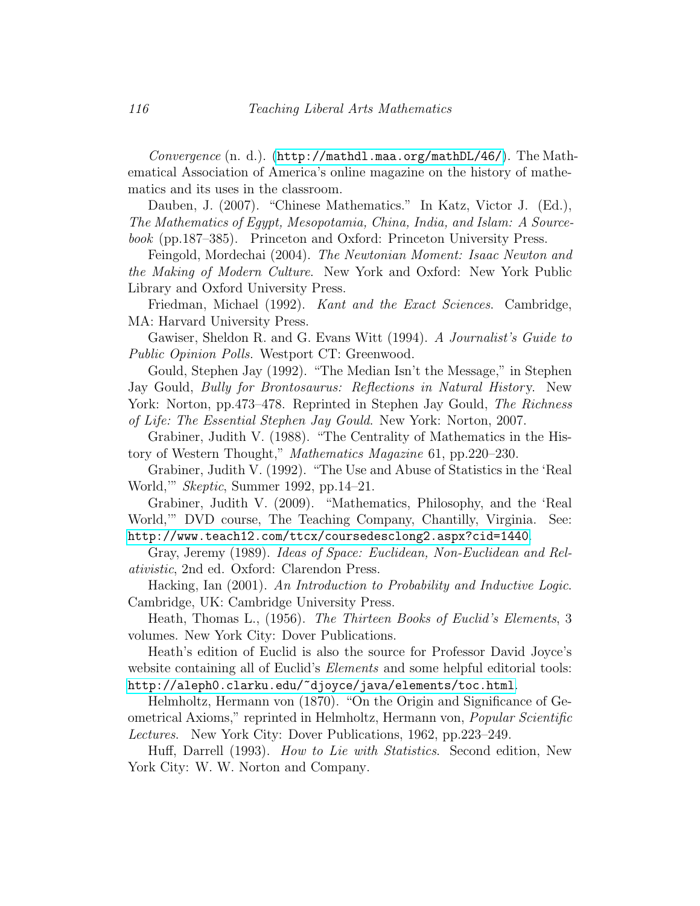Convergence  $(n, d)$ .  $(\text{http://mathdl.maa.org/mathDL/46/})$  $(\text{http://mathdl.maa.org/mathDL/46/})$  $(\text{http://mathdl.maa.org/mathDL/46/})$ . The Mathematical Association of America's online magazine on the history of mathematics and its uses in the classroom.

Dauben, J. (2007). "Chinese Mathematics." In Katz, Victor J. (Ed.), The Mathematics of Egypt, Mesopotamia, China, India, and Islam: A Sourcebook (pp.187–385). Princeton and Oxford: Princeton University Press.

Feingold, Mordechai (2004). The Newtonian Moment: Isaac Newton and the Making of Modern Culture. New York and Oxford: New York Public Library and Oxford University Press.

Friedman, Michael (1992). Kant and the Exact Sciences. Cambridge, MA: Harvard University Press.

Gawiser, Sheldon R. and G. Evans Witt (1994). A Journalist's Guide to Public Opinion Polls. Westport CT: Greenwood.

Gould, Stephen Jay (1992). "The Median Isn't the Message," in Stephen Jay Gould, Bully for Brontosaurus: Reflections in Natural History. New York: Norton, pp.473–478. Reprinted in Stephen Jay Gould, The Richness of Life: The Essential Stephen Jay Gould. New York: Norton, 2007.

Grabiner, Judith V. (1988). "The Centrality of Mathematics in the History of Western Thought," Mathematics Magazine 61, pp.220–230.

Grabiner, Judith V. (1992). "The Use and Abuse of Statistics in the 'Real World,'" Skeptic, Summer 1992, pp.14–21.

Grabiner, Judith V. (2009). "Mathematics, Philosophy, and the 'Real World,'" DVD course, The Teaching Company, Chantilly, Virginia. See: <http://www.teach12.com/ttcx/coursedesclong2.aspx?cid=1440>.

Gray, Jeremy (1989). Ideas of Space: Euclidean, Non-Euclidean and Relativistic, 2nd ed. Oxford: Clarendon Press.

Hacking, Ian (2001). An Introduction to Probability and Inductive Logic. Cambridge, UK: Cambridge University Press.

Heath, Thomas L., (1956). The Thirteen Books of Euclid's Elements, 3 volumes. New York City: Dover Publications.

Heath's edition of Euclid is also the source for Professor David Joyce's website containing all of Euclid's *Elements* and some helpful editorial tools: <http://aleph0.clarku.edu/~djoyce/java/elements/toc.html>.

Helmholtz, Hermann von (1870). "On the Origin and Significance of Geometrical Axioms," reprinted in Helmholtz, Hermann von, Popular Scientific Lectures. New York City: Dover Publications, 1962, pp.223–249.

Huff, Darrell (1993). How to Lie with Statistics. Second edition, New York City: W. W. Norton and Company.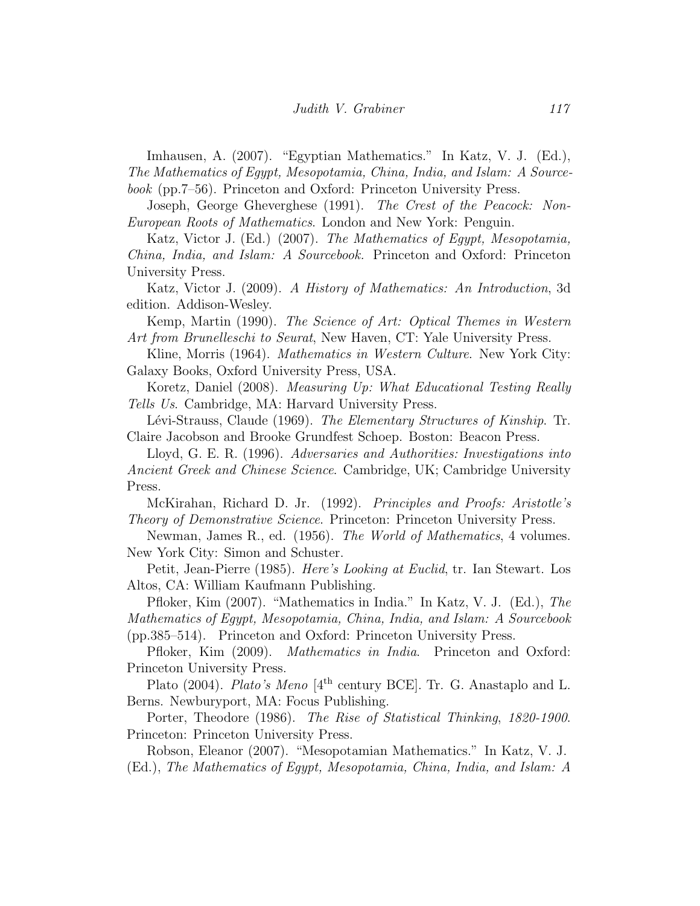Imhausen, A. (2007). "Egyptian Mathematics." In Katz, V. J. (Ed.), The Mathematics of Egypt, Mesopotamia, China, India, and Islam: A Sourcebook (pp.7–56). Princeton and Oxford: Princeton University Press.

Joseph, George Gheverghese (1991). The Crest of the Peacock: Non-European Roots of Mathematics. London and New York: Penguin.

Katz, Victor J. (Ed.) (2007). The Mathematics of Egypt, Mesopotamia, China, India, and Islam: A Sourcebook. Princeton and Oxford: Princeton University Press.

Katz, Victor J. (2009). A History of Mathematics: An Introduction, 3d edition. Addison-Wesley.

Kemp, Martin (1990). The Science of Art: Optical Themes in Western Art from Brunelleschi to Seurat, New Haven, CT: Yale University Press.

Kline, Morris (1964). *Mathematics in Western Culture*. New York City: Galaxy Books, Oxford University Press, USA.

Koretz, Daniel (2008). Measuring Up: What Educational Testing Really Tells Us. Cambridge, MA: Harvard University Press.

Lévi-Strauss, Claude (1969). The Elementary Structures of Kinship. Tr. Claire Jacobson and Brooke Grundfest Schoep. Boston: Beacon Press.

Lloyd, G. E. R. (1996). Adversaries and Authorities: Investigations into Ancient Greek and Chinese Science. Cambridge, UK; Cambridge University Press.

McKirahan, Richard D. Jr. (1992). Principles and Proofs: Aristotle's Theory of Demonstrative Science. Princeton: Princeton University Press.

Newman, James R., ed. (1956). The World of Mathematics, 4 volumes. New York City: Simon and Schuster.

Petit, Jean-Pierre (1985). Here's Looking at Euclid, tr. Ian Stewart. Los Altos, CA: William Kaufmann Publishing.

Pfloker, Kim (2007). "Mathematics in India." In Katz, V. J. (Ed.), The Mathematics of Egypt, Mesopotamia, China, India, and Islam: A Sourcebook (pp.385–514). Princeton and Oxford: Princeton University Press.

Pfloker, Kim (2009). *Mathematics in India*. Princeton and Oxford: Princeton University Press.

Plato (2004). Plato's Meno  $[4<sup>th</sup>$  century BCE]. Tr. G. Anastaplo and L. Berns. Newburyport, MA: Focus Publishing.

Porter, Theodore (1986). The Rise of Statistical Thinking, 1820-1900. Princeton: Princeton University Press.

Robson, Eleanor (2007). "Mesopotamian Mathematics." In Katz, V. J. (Ed.), The Mathematics of Egypt, Mesopotamia, China, India, and Islam: A